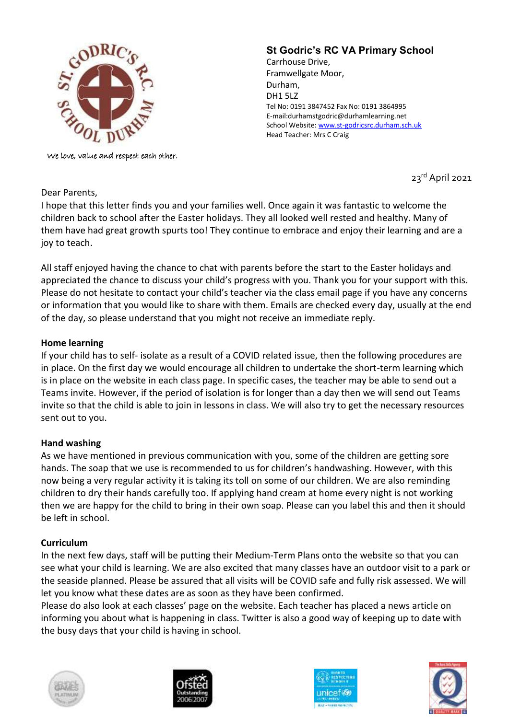

We love, value and respect each other.

# **St Godric's RC VA Primary School**

Carrhouse Drive, Framwellgate Moor, Durham, DH1 5LZ Tel No: 0191 3847452 Fax No: 0191 3864995 E-mail:durhamstgodric@durhamlearning.net School Website[: www.st-godricsrc.durham.sch.uk](http://www.st-godricsrc.durham.sch.uk/) Head Teacher: Mrs C Craig

23rd April 2021

## Dear Parents,

I hope that this letter finds you and your families well. Once again it was fantastic to welcome the children back to school after the Easter holidays. They all looked well rested and healthy. Many of them have had great growth spurts too! They continue to embrace and enjoy their learning and are a joy to teach.

All staff enjoyed having the chance to chat with parents before the start to the Easter holidays and appreciated the chance to discuss your child's progress with you. Thank you for your support with this. Please do not hesitate to contact your child's teacher via the class email page if you have any concerns or information that you would like to share with them. Emails are checked every day, usually at the end of the day, so please understand that you might not receive an immediate reply.

## **Home learning**

If your child has to self- isolate as a result of a COVID related issue, then the following procedures are in place. On the first day we would encourage all children to undertake the short-term learning which is in place on the website in each class page. In specific cases, the teacher may be able to send out a Teams invite. However, if the period of isolation is for longer than a day then we will send out Teams invite so that the child is able to join in lessons in class. We will also try to get the necessary resources sent out to you.

## **Hand washing**

As we have mentioned in previous communication with you, some of the children are getting sore hands. The soap that we use is recommended to us for children's handwashing. However, with this now being a very regular activity it is taking its toll on some of our children. We are also reminding children to dry their hands carefully too. If applying hand cream at home every night is not working then we are happy for the child to bring in their own soap. Please can you label this and then it should be left in school.

## **Curriculum**

In the next few days, staff will be putting their Medium-Term Plans onto the website so that you can see what your child is learning. We are also excited that many classes have an outdoor visit to a park or the seaside planned. Please be assured that all visits will be COVID safe and fully risk assessed. We will let you know what these dates are as soon as they have been confirmed.

Please do also look at each classes' page on the website. Each teacher has placed a news article on informing you about what is happening in class. Twitter is also a good way of keeping up to date with the busy days that your child is having in school.